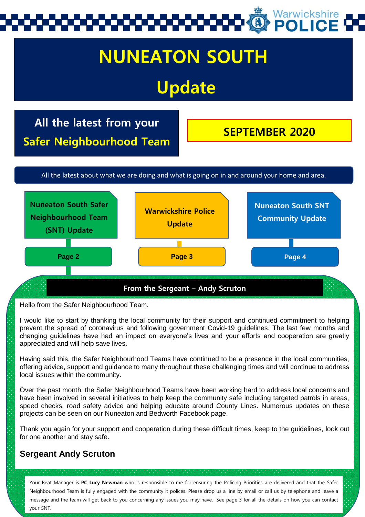

# **NUNEATON SOUTH**

# **Update**

**All the latest from your Safer Neighbourhood Team**

**SEPTEMBER 2020**

All the latest about what we are doing and what is going on in and around your home and area.



Hello from the Safer Neighbourhood Team.

I would like to start by thanking the local community for their support and continued commitment to helping prevent the spread of coronavirus and following government Covid-19 guidelines. The last few months and changing guidelines have had an impact on everyone's lives and your efforts and cooperation are greatly appreciated and will help save lives.

Having said this, the Safer Neighbourhood Teams have continued to be a presence in the local communities, offering advice, support and guidance to many throughout these challenging times and will continue to address local issues within the community.

Over the past month, the Safer Neighbourhood Teams have been working hard to address local concerns and have been involved in several initiatives to help keep the community safe including targeted patrols in areas, speed checks, road safety advice and helping educate around County Lines. Numerous updates on these projects can be seen on our Nuneaton and Bedworth Facebook page.

Thank you again for your support and cooperation during these difficult times, keep to the guidelines, look out for one another and stay safe.

#### **Sergeant Andy Scruton**

Your Beat Manager is **PC Lucy Newman** who is responsible to me for ensuring the Policing Priorities are delivered and that the Safer Neighbourhood Team is fully engaged with the community it polices. Please drop us a line by email or call us by telephone and leave a message and the team will get back to you concerning any issues you may have. See page 3 for all the details on how you can contact your SNT.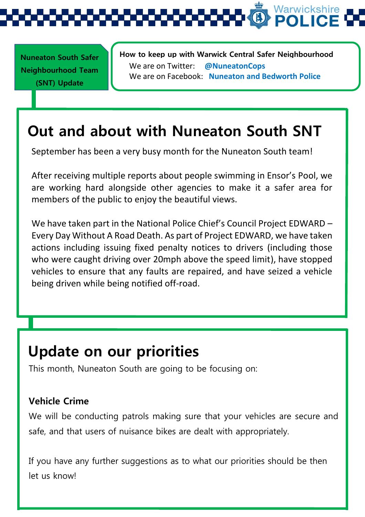

**Nuneaton South Safer Neighbourhood Team (SNT) Update** 

**How to keep up with Warwick Central Safer Neighbourhood Team** We are on Twitter: **@NuneatonCops** We are on Facebook: **Nuneaton and Bedworth Police**

## **Out and about with Nuneaton South SNT**

September has been a very busy month for the Nuneaton South team!

After receiving multiple reports about people swimming in Ensor's Pool, we are working hard alongside other agencies to make it a safer area for members of the public to enjoy the beautiful views.

We have taken part in the National Police Chief's Council Project EDWARD – Every Day Without A Road Death. As part of Project EDWARD, we have taken actions including issuing fixed penalty notices to drivers (including those who were caught driving over 20mph above the speed limit), have stopped vehicles to ensure that any faults are repaired, and have seized a vehicle being driven while being notified off-road.

## **Update on our priorities**

This month, Nuneaton South are going to be focusing on:

#### **Vehicle Crime**

We will be conducting patrols making sure that your vehicles are secure and safe, and that users of nuisance bikes are dealt with appropriately.

If you have any further suggestions as to what our priorities should be then let us know!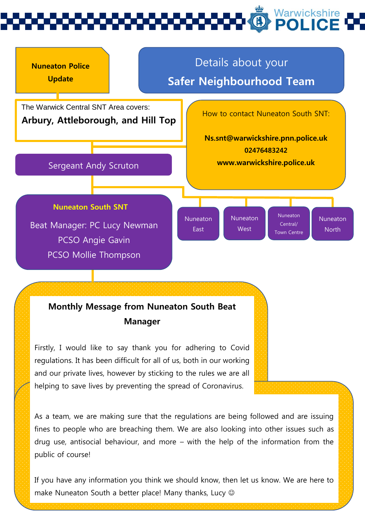

#### **Monthly Message from Nuneaton South Beat Manager**

Firstly, I would like to say thank you for adhering to Covid regulations. It has been difficult for all of us, both in our working and our private lives, however by sticking to the rules we are all helping to save lives by preventing the spread of Coronavirus.

As a team, we are making sure that the regulations are being followed and are issuing fines to people who are breaching them. We are also looking into other issues such as drug use, antisocial behaviour, and more – with the help of the information from the public of course!

If you have any information you think we should know, then let us know. We are here to make Nuneaton South a better place! Many thanks, Lucy